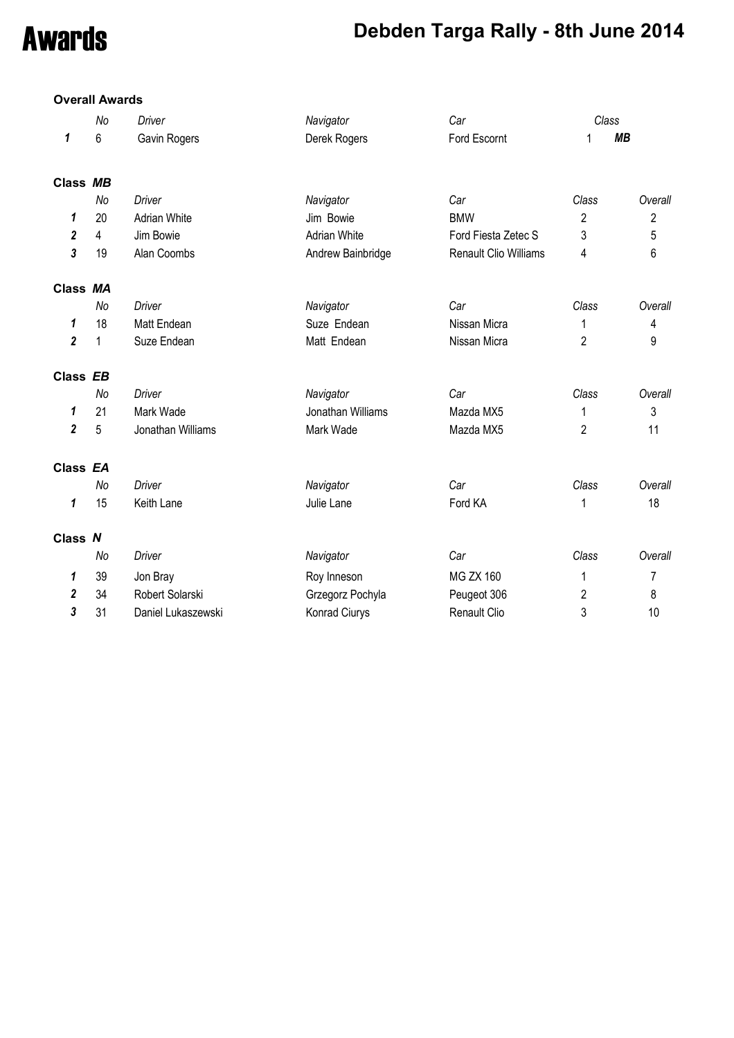# Awards **Debden Targa Rally - 8th June 2014**

### **Overall Awards**

|                         | No | Driver              | Navigator           | Car                   |                | Class          |
|-------------------------|----|---------------------|---------------------|-----------------------|----------------|----------------|
| 1                       | 6  | Gavin Rogers        | Derek Rogers        | Ford Escornt          | 1              | <b>MB</b>      |
| Class MB                |    |                     |                     |                       |                |                |
|                         | No | <b>Driver</b>       | Navigator           | Car                   | Class          | Overall        |
| 1                       | 20 | <b>Adrian White</b> | Jim Bowie           | <b>BMW</b>            | $\overline{c}$ | $\overline{c}$ |
| 2                       | 4  | Jim Bowie           | <b>Adrian White</b> | Ford Fiesta Zetec S   | 3              | 5              |
| 3                       | 19 | Alan Coombs         | Andrew Bainbridge   | Renault Clio Williams | 4              | 6              |
| Class MA                |    |                     |                     |                       |                |                |
|                         | No | <b>Driver</b>       | Navigator           | Car                   | Class          | Overall        |
| 1                       | 18 | Matt Endean         | Suze Endean         | Nissan Micra          | 1              | 4              |
| $\overline{\mathbf{c}}$ | 1  | Suze Endean         | Matt Endean         | Nissan Micra          | $\overline{c}$ | 9              |
| Class EB                |    |                     |                     |                       |                |                |
|                         | No | <b>Driver</b>       | Navigator           | Car                   | Class          | Overall        |
| 1                       | 21 | Mark Wade           | Jonathan Williams   | Mazda MX5             | 1              | 3              |
| $\overline{\mathbf{c}}$ | 5  | Jonathan Williams   | Mark Wade           | Mazda MX5             | 2              | 11             |
| Class EA                |    |                     |                     |                       |                |                |
|                         | No | <b>Driver</b>       | Navigator           | Car                   | Class          | Overall        |
| 1                       | 15 | Keith Lane          | Julie Lane          | Ford KA               | 1              | 18             |
| Class N                 |    |                     |                     |                       |                |                |
|                         | No | <b>Driver</b>       | Navigator           | Car                   | Class          | Overall        |
| 1                       | 39 | Jon Bray            | Roy Inneson         | <b>MG ZX 160</b>      | 1              | 7              |
| 2                       | 34 | Robert Solarski     | Grzegorz Pochyla    | Peugeot 306           | $\overline{c}$ | 8              |
| 3                       | 31 | Daniel Lukaszewski  | Konrad Ciurys       | Renault Clio          | 3              | 10             |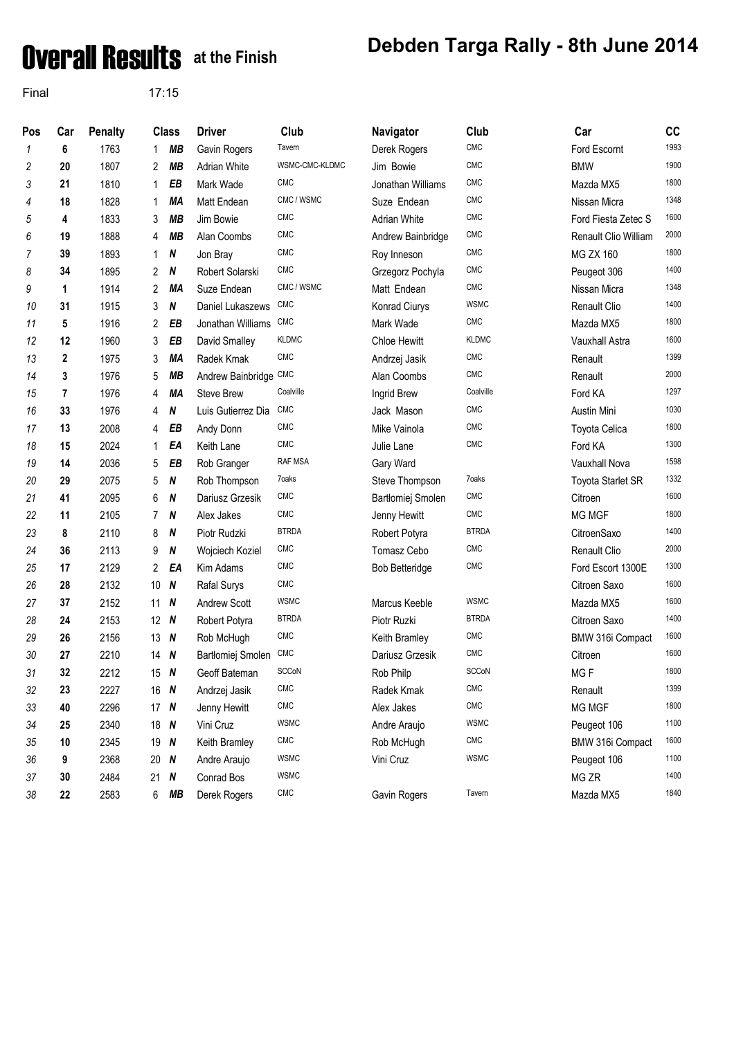# **Overall Results** at the Finish Debden Targa Rally - 8th June 2014

Final 17:15

| Pos | Car         | <b>Penalty</b> |                 | <b>Class</b>     | <b>Driver</b>         | Club           | Navigator             | Club         | Car                  | cc   |
|-----|-------------|----------------|-----------------|------------------|-----------------------|----------------|-----------------------|--------------|----------------------|------|
| 1   | 6           | 1763           | $\mathbf 1$     | <b>MB</b>        | Gavin Rogers          | Tavern         | Derek Rogers          | CMC          | Ford Escornt         | 1993 |
| 2   | 20          | 1807           | 2               | MВ               | <b>Adrian White</b>   | WSMC-CMC-KLDMC | Jim Bowie             | <b>CMC</b>   | <b>BMW</b>           | 1900 |
| 3   | 21          | 1810           | 1               | EB               | Mark Wade             | <b>CMC</b>     | Jonathan Williams     | CMC          | Mazda MX5            | 1800 |
| 4   | 18          | 1828           | 1               | MA               | Matt Endean           | CMC / WSMC     | Suze Endean           | CMC          | Nissan Micra         | 1348 |
| 5   | 4           | 1833           | 3               | <b>MB</b>        | Jim Bowie             | <b>CMC</b>     | Adrian White          | <b>CMC</b>   | Ford Fiesta Zetec S  | 1600 |
| 6   | 19          | 1888           | 4               | MВ               | Alan Coombs           | <b>CMC</b>     | Andrew Bainbridge     | <b>CMC</b>   | Renault Clio William | 2000 |
| 7   | 39          | 1893           | $\mathbf 1$     | N                | Jon Bray              | <b>CMC</b>     | Roy Inneson           | <b>CMC</b>   | <b>MG ZX 160</b>     | 1800 |
| 8   | 34          | 1895           | 2               | N                | Robert Solarski       | <b>CMC</b>     | Grzegorz Pochyla      | <b>CMC</b>   | Peugeot 306          | 1400 |
| 9   | 1           | 1914           | 2               | MA               | Suze Endean           | CMC / WSMC     | Matt Endean           | <b>CMC</b>   | Nissan Micra         | 1348 |
| 10  | 31          | 1915           | 3               | N                | Daniel Lukaszews      | <b>CMC</b>     | Konrad Ciurys         | <b>WSMC</b>  | Renault Clio         | 1400 |
| 11  | 5           | 1916           | 2               | EB               | Jonathan Williams     | CMC            | Mark Wade             | <b>CMC</b>   | Mazda MX5            | 1800 |
| 12  | 12          | 1960           | 3               | EB               | David Smalley         | <b>KLDMC</b>   | <b>Chloe Hewitt</b>   | <b>KLDMC</b> | Vauxhall Astra       | 1600 |
| 13  | $\mathbf 2$ | 1975           | 3               | MA               | Radek Kmak            | <b>CMC</b>     | Andrzej Jasik         | CMC          | Renault              | 1399 |
| 14  | 3           | 1976           | 5               | MВ               | Andrew Bainbridge CMC |                | Alan Coombs           | <b>CMC</b>   | Renault              | 2000 |
| 15  | 7           | 1976           | 4               | MA               | Steve Brew            | Coalville      | Ingrid Brew           | Coalville    | Ford KA              | 1297 |
| 16  | 33          | 1976           | 4               | N                | Luis Gutierrez Dia    | <b>CMC</b>     | Jack Mason            | <b>CMC</b>   | Austin Mini          | 1030 |
| 17  | 13          | 2008           | 4               | ΕB               | Andy Donn             | <b>CMC</b>     | Mike Vainola          | <b>CMC</b>   | <b>Toyota Celica</b> | 1800 |
| 18  | 15          | 2024           | $\mathbf 1$     | EA               | Keith Lane            | CMC            | Julie Lane            | <b>CMC</b>   | Ford KA              | 1300 |
| 19  | 14          | 2036           | 5               | EB               | Rob Granger           | <b>RAF MSA</b> | Gary Ward             |              | Vauxhall Nova        | 1598 |
| 20  | 29          | 2075           | 5               | N                | Rob Thompson          | 7oaks          | Steve Thompson        | 7oaks        | Toyota Starlet SR    | 1332 |
| 21  | 41          | 2095           | 6               | N                | Dariusz Grzesik       | <b>CMC</b>     | Bartłomiej Smolen     | <b>CMC</b>   | Citroen              | 1600 |
| 22  | 11          | 2105           | 7               | N                | Alex Jakes            | <b>CMC</b>     | Jenny Hewitt          | <b>CMC</b>   | MG MGF               | 1800 |
| 23  | 8           | 2110           | 8               | N                | Piotr Rudzki          | <b>BTRDA</b>   | Robert Potyra         | <b>BTRDA</b> | CitroenSaxo          | 1400 |
| 24  | 36          | 2113           | 9               | N                | Wojciech Koziel       | <b>CMC</b>     | Tomasz Cebo           | <b>CMC</b>   | Renault Clio         | 2000 |
| 25  | 17          | 2129           | $\overline{2}$  | EA               | Kim Adams             | <b>CMC</b>     | <b>Bob Betteridge</b> | <b>CMC</b>   | Ford Escort 1300E    | 1300 |
| 26  | 28          | 2132           | 10 <sup>°</sup> | N                | Rafal Surys           | <b>CMC</b>     |                       |              | Citroen Saxo         | 1600 |
| 27  | 37          | 2152           | 11              | N                | <b>Andrew Scott</b>   | <b>WSMC</b>    | Marcus Keeble         | <b>WSMC</b>  | Mazda MX5            | 1600 |
| 28  | 24          | 2153           | 12 N            |                  | Robert Potyra         | <b>BTRDA</b>   | Piotr Ruzki           | <b>BTRDA</b> | Citroen Saxo         | 1400 |
| 29  | 26          | 2156           | $13 \quad N$    |                  | Rob McHugh            | <b>CMC</b>     | Keith Bramley         | <b>CMC</b>   | BMW 316i Compact     | 1600 |
| 30  | 27          | 2210           | $14$ N          |                  | Bartłomiej Smolen     | <b>CMC</b>     | Dariusz Grzesik       | <b>CMC</b>   | Citroen              | 1600 |
| 31  | 32          | 2212           | 15 $N$          |                  | Geoff Bateman         | <b>SCCoN</b>   | Rob Philp             | SCCoN        | MGF                  | 1800 |
| 32  | 23          | 2227           | 16 $N$          |                  | Andrzej Jasik         | <b>CMC</b>     | Radek Kmak            | CMC          | Renault              | 1399 |
| 33  | 40          | 2296           | 17 $N$          |                  | Jenny Hewitt          | CMC            | Alex Jakes            | CMC          | MG MGF               | 1800 |
| 34  | 25          | 2340           | 18 $N$          |                  | Vini Cruz             | <b>WSMC</b>    | Andre Araujo          | <b>WSMC</b>  | Peugeot 106          | 1100 |
| 35  | 10          | 2345           | 19 $N$          |                  | Keith Bramley         | <b>CMC</b>     | Rob McHugh            | CMC          | BMW 316i Compact     | 1600 |
| 36  | 9           | 2368           | 20 $N$          |                  | Andre Araujo          | <b>WSMC</b>    | Vini Cruz             | <b>WSMC</b>  | Peugeot 106          | 1100 |
| 37  | 30          | 2484           | 21              | $\boldsymbol{N}$ | Conrad Bos            | <b>WSMC</b>    |                       |              | MG ZR                | 1400 |
| 38  | 22          | 2583           | 6               | MВ               | Derek Rogers          | CMC            | Gavin Rogers          | Tavern       | Mazda MX5            | 1840 |
|     |             |                |                 |                  |                       |                |                       |              |                      |      |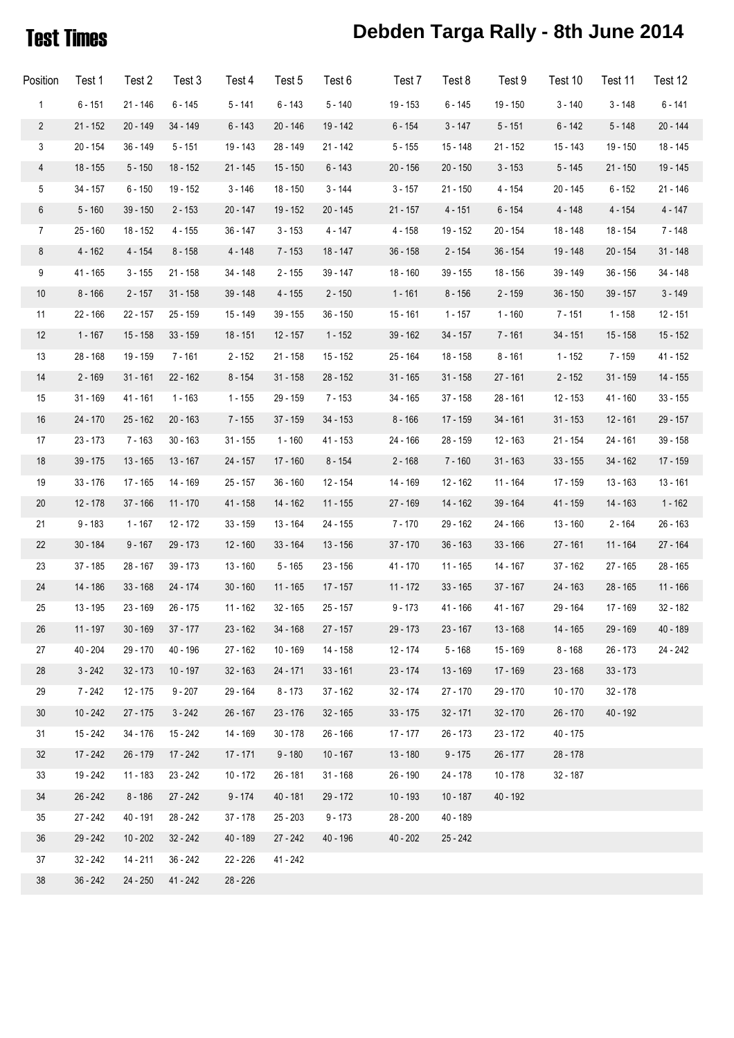## Test Times **Debden Targa Rally - 8th June 2014**

| Position         | Test 1     | Test 2     | Test 3     | Test 4     | Test 5     | Test 6     | Test 7     | Test 8     | Test 9     | Test 10    | Test 11    | Test 12    |
|------------------|------------|------------|------------|------------|------------|------------|------------|------------|------------|------------|------------|------------|
| $\mathbf{1}$     | $6 - 151$  | $21 - 146$ | $6 - 145$  | $5 - 141$  | $6 - 143$  | $5 - 140$  | 19 - 153   | $6 - 145$  | 19 - 150   | $3 - 140$  | $3 - 148$  | $6 - 141$  |
| $\overline{c}$   | $21 - 152$ | 20 - 149   | 34 - 149   | $6 - 143$  | $20 - 146$ | 19 - 142   | $6 - 154$  | $3 - 147$  | $5 - 151$  | $6 - 142$  | $5 - 148$  | 20 - 144   |
| $\mathbf{3}$     | $20 - 154$ | $36 - 149$ | $5 - 151$  | 19 - 143   | 28 - 149   | 21 - 142   | $5 - 155$  | 15 - 148   | $21 - 152$ | 15 - 143   | 19 - 150   | 18 - 145   |
| $\overline{4}$   | $18 - 155$ | $5 - 150$  | 18 - 152   | $21 - 145$ | $15 - 150$ | $6 - 143$  | $20 - 156$ | $20 - 150$ | $3 - 153$  | $5 - 145$  | $21 - 150$ | 19 - 145   |
| 5                | $34 - 157$ | $6 - 150$  | 19 - 152   | $3 - 146$  | 18 - 150   | $3 - 144$  | $3 - 157$  | $21 - 150$ | 4 - 154    | 20 - 145   | $6 - 152$  | 21 - 146   |
| $\boldsymbol{6}$ | $5 - 160$  | $39 - 150$ | $2 - 153$  | 20 - 147   | 19 - 152   | 20 - 145   | $21 - 157$ | $4 - 151$  | $6 - 154$  | 4 - 148    | $4 - 154$  | $4 - 147$  |
| $\overline{7}$   | $25 - 160$ | 18 - 152   | $4 - 155$  | 36 - 147   | $3 - 153$  | 4 - 147    | $4 - 158$  | 19 - 152   | 20 - 154   | 18 - 148   | 18 - 154   | 7 - 148    |
| 8                | $4 - 162$  | $4 - 154$  | $8 - 158$  | $4 - 148$  | $7 - 153$  | 18 - 147   | $36 - 158$ | $2 - 154$  | $36 - 154$ | 19 - 148   | $20 - 154$ | $31 - 148$ |
| 9                | 41 - 165   | $3 - 155$  | $21 - 158$ | 34 - 148   | $2 - 155$  | 39 - 147   | $18 - 160$ | $39 - 155$ | 18 - 156   | 39 - 149   | $36 - 156$ | 34 - 148   |
| 10               | $8 - 166$  | $2 - 157$  | $31 - 158$ | 39 - 148   | $4 - 155$  | $2 - 150$  | $1 - 161$  | $8 - 156$  | $2 - 159$  | $36 - 150$ | $39 - 157$ | $3 - 149$  |
| 11               | $22 - 166$ | 22 - 157   | 25 - 159   | $15 - 149$ | $39 - 155$ | 36 - 150   | 15 - 161   | $1 - 157$  | $1 - 160$  | 7 - 151    | $1 - 158$  | $12 - 151$ |
| 12               | $1 - 167$  | $15 - 158$ | $33 - 159$ | 18 - 151   | $12 - 157$ | $1 - 152$  | $39 - 162$ | $34 - 157$ | 7 - 161    | $34 - 151$ | 15 - 158   | $15 - 152$ |
| 13               | $28 - 168$ | 19 - 159   | 7 - 161    | $2 - 152$  | $21 - 158$ | 15 - 152   | 25 - 164   | 18 - 158   | $8 - 161$  | 1 - 152    | 7 - 159    | $41 - 152$ |
| 14               | $2 - 169$  | $31 - 161$ | $22 - 162$ | $8 - 154$  | $31 - 158$ | $28 - 152$ | $31 - 165$ | $31 - 158$ | $27 - 161$ | $2 - 152$  | $31 - 159$ | 14 - 155   |
| 15               | $31 - 169$ | 41 - 161   | $1 - 163$  | $1 - 155$  | 29 - 159   | 7 - 153    | 34 - 165   | $37 - 158$ | $28 - 161$ | $12 - 153$ | 41 - 160   | $33 - 155$ |
| 16               | 24 - 170   | $25 - 162$ | $20 - 163$ | $7 - 155$  | $37 - 159$ | $34 - 153$ | $8 - 166$  | 17 - 159   | $34 - 161$ | $31 - 153$ | 12 - 161   | 29 - 157   |
| 17               | $23 - 173$ | $7 - 163$  | $30 - 163$ | $31 - 155$ | $1 - 160$  | 41 - 153   | 24 - 166   | 28 - 159   | 12 - 163   | 21 - 154   | 24 - 161   | 39 - 158   |
| 18               | $39 - 175$ | 13 - 165   | 13 - 167   | 24 - 157   | $17 - 160$ | $8 - 154$  | $2 - 168$  | $7 - 160$  | $31 - 163$ | $33 - 155$ | 34 - 162   | 17 - 159   |
| 19               | $33 - 176$ | 17 - 165   | 14 - 169   | 25 - 157   | $36 - 160$ | 12 - 154   | 14 - 169   | 12 - 162   | 11 - 164   | 17 - 159   | 13 - 163   | $13 - 161$ |
| 20               | $12 - 178$ | 37 - 166   | $11 - 170$ | 41 - 158   | 14 - 162   | $11 - 155$ | 27 - 169   | 14 - 162   | 39 - 164   | 41 - 159   | 14 - 163   | $1 - 162$  |
| 21               | $9 - 183$  | $1 - 167$  | 12 - 172   | $33 - 159$ | 13 - 164   | 24 - 155   | $7 - 170$  | 29 - 162   | 24 - 166   | $13 - 160$ | $2 - 164$  | 26 - 163   |
| 22               | $30 - 184$ | $9 - 167$  | 29 - 173   | 12 - 160   | $33 - 164$ | $13 - 156$ | $37 - 170$ | $36 - 163$ | $33 - 166$ | 27 - 161   | 11 - 164   | 27 - 164   |
| 23               | $37 - 185$ | 28 - 167   | $39 - 173$ | 13 - 160   | $5 - 165$  | 23 - 156   | 41 - 170   | $11 - 165$ | 14 - 167   | 37 - 162   | $27 - 165$ | 28 - 165   |
| 24               | 14 - 186   | $33 - 168$ | 24 - 174   | $30 - 160$ | $11 - 165$ | 17 - 157   | 11 - 172   | $33 - 165$ | $37 - 167$ | 24 - 163   | 28 - 165   | $11 - 166$ |
| 25               | 13 - 195   | 23 - 169   | $26 - 175$ | 11 - 162   | $32 - 165$ | 25 - 157   | $9 - 173$  | $41 - 166$ | 41 - 167   | 29 - 164   | 17 - 169   | 32 - 182   |
| 26               | $11 - 197$ | $30 - 169$ | $37 - 177$ | $23 - 162$ | $34 - 168$ | $27 - 157$ | 29 - 173   | $23 - 167$ | $13 - 168$ | 14 - 165   | 29 - 169   | 40 - 189   |
| 27               | $40 - 204$ | 29 - 170   | 40 - 196   | 27 - 162   | $10 - 169$ | 14 - 158   | 12 - 174   | $5 - 168$  | 15 - 169   | $8 - 168$  | $26 - 173$ | 24 - 242   |
| 28               | $3 - 242$  | $32 - 173$ | $10 - 197$ | $32 - 163$ | 24 - 171   | $33 - 161$ | $23 - 174$ | $13 - 169$ | 17 - 169   | $23 - 168$ | $33 - 173$ |            |
| 29               | $7 - 242$  | $12 - 175$ | $9 - 207$  | 29 - 164   | $8 - 173$  | $37 - 162$ | $32 - 174$ | 27 - 170   | 29 - 170   | $10 - 170$ | $32 - 178$ |            |
| 30 <sup>°</sup>  | $10 - 242$ | $27 - 175$ | $3 - 242$  | $26 - 167$ | $23 - 176$ | $32 - 165$ | $33 - 175$ | $32 - 171$ | $32 - 170$ | $26 - 170$ | 40 - 192   |            |
| 31               | $15 - 242$ | 34 - 176   | 15 - 242   | 14 - 169   | $30 - 178$ | $26 - 166$ | $17 - 177$ | $26 - 173$ | $23 - 172$ | $40 - 175$ |            |            |
| 32               | $17 - 242$ | 26 - 179   | 17 - 242   | $17 - 171$ | $9 - 180$  | $10 - 167$ | $13 - 180$ | $9 - 175$  | $26 - 177$ | $28 - 178$ |            |            |
| 33               | 19 - 242   | $11 - 183$ | 23 - 242   | 10 - 172   | 26 - 181   | $31 - 168$ | 26 - 190   | 24 - 178   | $10 - 178$ | $32 - 187$ |            |            |
| 34               | $26 - 242$ | $8 - 186$  | 27 - 242   | $9 - 174$  | $40 - 181$ | 29 - 172   | 10 - 193   | $10 - 187$ | 40 - 192   |            |            |            |
| $35\,$           | $27 - 242$ | 40 - 191   | 28 - 242   | $37 - 178$ | $25 - 203$ | $9 - 173$  | $28 - 200$ | 40 - 189   |            |            |            |            |
| 36               | 29 - 242   | $10 - 202$ | $32 - 242$ | 40 - 189   | $27 - 242$ | 40 - 196   | $40 - 202$ | $25 - 242$ |            |            |            |            |
| 37               | 32 - 242   | 14 - 211   | $36 - 242$ | $22 - 226$ | 41 - 242   |            |            |            |            |            |            |            |
| $38\,$           | $36 - 242$ | $24 - 250$ | 41 - 242   | $28 - 226$ |            |            |            |            |            |            |            |            |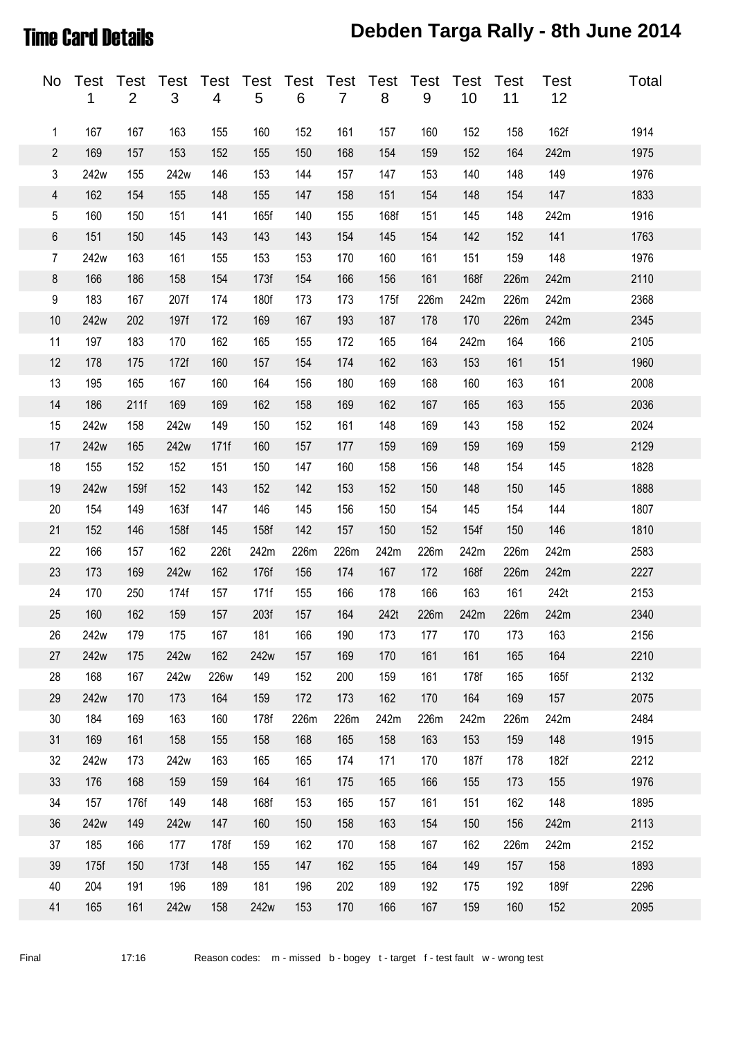### Time Card Details **Debden Targa Rally - 8th June 2014**

| No                      | Test<br>1 | Test<br>$\overline{2}$ | <b>Test</b><br>$\mathfrak{S}$ | Test<br>4 | <b>Test</b><br>5 | <b>Test</b><br>6 | Test<br>$\overline{7}$ | Test<br>8 | <b>Test</b><br>$9\,$ | <b>Test</b><br>10 | Test<br>11 | Test<br>12 | Total |
|-------------------------|-----------|------------------------|-------------------------------|-----------|------------------|------------------|------------------------|-----------|----------------------|-------------------|------------|------------|-------|
| 1                       | 167       | 167                    | 163                           | 155       | 160              | 152              | 161                    | 157       | 160                  | 152               | 158        | 162f       | 1914  |
| $\overline{\mathbf{c}}$ | 169       | 157                    | 153                           | 152       | 155              | 150              | 168                    | 154       | 159                  | 152               | 164        | 242m       | 1975  |
| 3                       | 242w      | 155                    | 242w                          | 146       | 153              | 144              | 157                    | 147       | 153                  | 140               | 148        | 149        | 1976  |
| 4                       | 162       | 154                    | 155                           | 148       | 155              | 147              | 158                    | 151       | 154                  | 148               | 154        | 147        | 1833  |
| 5                       | 160       | 150                    | 151                           | 141       | 165f             | 140              | 155                    | 168f      | 151                  | 145               | 148        | 242m       | 1916  |
| 6                       | 151       | 150                    | 145                           | 143       | 143              | 143              | 154                    | 145       | 154                  | 142               | 152        | 141        | 1763  |
| $\overline{7}$          | 242w      | 163                    | 161                           | 155       | 153              | 153              | 170                    | 160       | 161                  | 151               | 159        | 148        | 1976  |
| 8                       | 166       | 186                    | 158                           | 154       | 173f             | 154              | 166                    | 156       | 161                  | 168f              | 226m       | 242m       | 2110  |
| 9                       | 183       | 167                    | 207f                          | 174       | 180f             | 173              | 173                    | 175f      | 226m                 | 242m              | 226m       | 242m       | 2368  |
| 10                      | 242w      | 202                    | 197f                          | 172       | 169              | 167              | 193                    | 187       | 178                  | 170               | 226m       | 242m       | 2345  |
| 11                      | 197       | 183                    | 170                           | 162       | 165              | 155              | 172                    | 165       | 164                  | 242m              | 164        | 166        | 2105  |
| 12                      | 178       | 175                    | 172f                          | 160       | 157              | 154              | 174                    | 162       | 163                  | 153               | 161        | 151        | 1960  |
| 13                      | 195       | 165                    | 167                           | 160       | 164              | 156              | 180                    | 169       | 168                  | 160               | 163        | 161        | 2008  |
| 14                      | 186       | 211f                   | 169                           | 169       | 162              | 158              | 169                    | 162       | 167                  | 165               | 163        | 155        | 2036  |
| 15                      | 242w      | 158                    | 242w                          | 149       | 150              | 152              | 161                    | 148       | 169                  | 143               | 158        | 152        | 2024  |
| 17                      | 242w      | 165                    | 242w                          | 171f      | 160              | 157              | 177                    | 159       | 169                  | 159               | 169        | 159        | 2129  |
| 18                      | 155       | 152                    | 152                           | 151       | 150              | 147              | 160                    | 158       | 156                  | 148               | 154        | 145        | 1828  |
| 19                      | 242w      | 159f                   | 152                           | 143       | 152              | 142              | 153                    | 152       | 150                  | 148               | 150        | 145        | 1888  |
| 20                      | 154       | 149                    | 163f                          | 147       | 146              | 145              | 156                    | 150       | 154                  | 145               | 154        | 144        | 1807  |
| 21                      | 152       | 146                    | 158f                          | 145       | 158f             | 142              | 157                    | 150       | 152                  | 154f              | 150        | 146        | 1810  |
| 22                      | 166       | 157                    | 162                           | 226t      | 242m             | 226m             | 226m                   | 242m      | 226m                 | 242m              | 226m       | 242m       | 2583  |
| 23                      | 173       | 169                    | 242w                          | 162       | 176f             | 156              | 174                    | 167       | 172                  | 168f              | 226m       | 242m       | 2227  |
| 24                      | 170       | 250                    | 174f                          | 157       | 171f             | 155              | 166                    | 178       | 166                  | 163               | 161        | 242t       | 2153  |
| 25                      | 160       | 162                    | 159                           | 157       | 203f             | 157              | 164                    | 242t      | 226m                 | 242m              | 226m       | 242m       | 2340  |
| 26                      | 242w      | 179                    | 175                           | 167       | 181              | 166              | 190                    | 173       | 177                  | 170               | 173        | 163        | 2156  |
| 27                      | 242w      | 175                    | 242w                          | 162       | 242w             | 157              | 169                    | 170       | 161                  | 161               | 165        | 164        | 2210  |
| 28                      | 168       | 167                    | 242w                          | 226w      | 149              | 152              | 200                    | 159       | 161                  | 178f              | 165        | 165f       | 2132  |
| 29                      | 242w      | 170                    | 173                           | 164       | 159              | 172              | 173                    | 162       | 170                  | 164               | 169        | 157        | 2075  |
| 30 <sup>°</sup>         | 184       | 169                    | 163                           | 160       | 178f             | 226m             | 226m                   | 242m      | 226m                 | 242m              | 226m       | 242m       | 2484  |
| 31                      | 169       | 161                    | 158                           | 155       | 158              | 168              | 165                    | 158       | 163                  | 153               | 159        | 148        | 1915  |
| 32                      | 242w      | 173                    | 242w                          | 163       | 165              | 165              | 174                    | 171       | 170                  | 187f              | 178        | 182f       | 2212  |
| 33                      | 176       | 168                    | 159                           | 159       | 164              | 161              | 175                    | 165       | 166                  | 155               | 173        | 155        | 1976  |
| 34                      | 157       | 176f                   | 149                           | 148       | 168f             | 153              | 165                    | 157       | 161                  | 151               | 162        | 148        | 1895  |
| 36                      | 242w      | 149                    | 242w                          | 147       | 160              | 150              | 158                    | 163       | 154                  | 150               | 156        | 242m       | 2113  |
| 37                      | 185       | 166                    | 177                           | 178f      | 159              | 162              | 170                    | 158       | 167                  | 162               | 226m       | 242m       | 2152  |
| 39                      | 175f      | 150                    | 173f                          | 148       | 155              | 147              | 162                    | 155       | 164                  | 149               | 157        | 158        | 1893  |
| 40                      | 204       | 191                    | 196                           | 189       | 181              | 196              | 202                    | 189       | 192                  | 175               | 192        | 189f       | 2296  |
| 41                      | 165       | 161                    | 242w                          | 158       | 242w             | 153              | 170                    | 166       | 167                  | 159               | 160        | 152        | 2095  |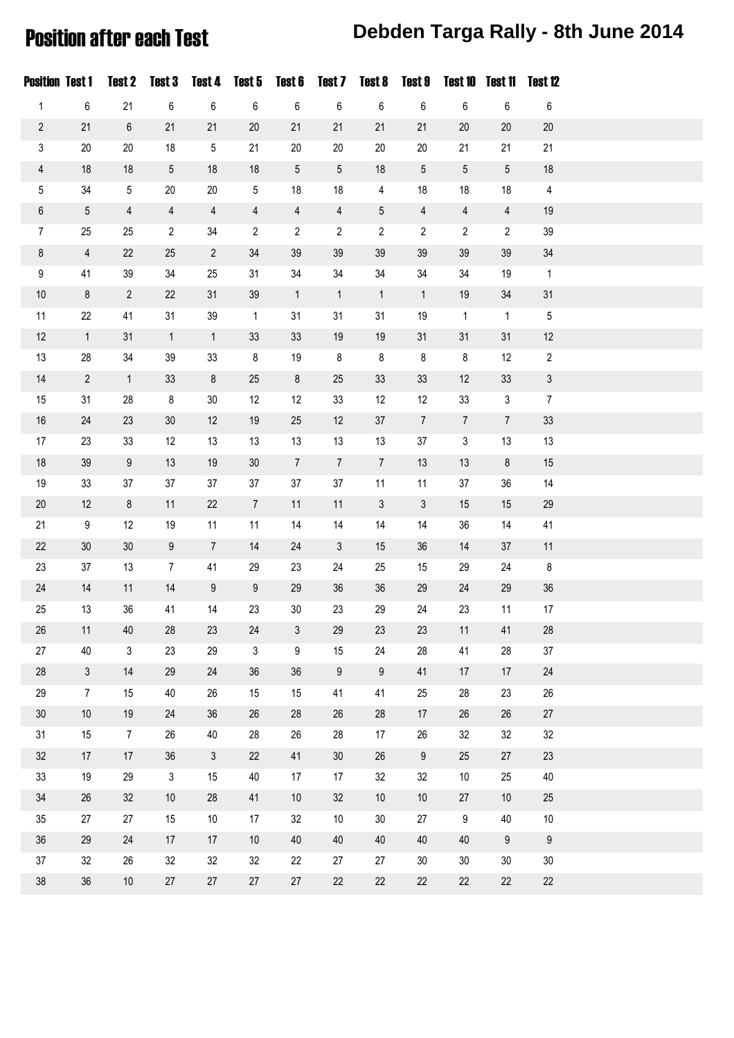### Position after each Test **Debden Targa Rally - 8th June 2014**

| <b>Position Test 1</b> |                | <b>Test 2</b>  | Test 3           | Test 4         | Test 5           | Test 6         | Test 7           | Test 8           | Test 9         | <b>Test 10</b>  | Test 11          | Test 12        |  |
|------------------------|----------------|----------------|------------------|----------------|------------------|----------------|------------------|------------------|----------------|-----------------|------------------|----------------|--|
| $\mathbf{1}$           | $\,6$          | 21             | $\,6\,$          | 6              | 6                | $\,6\,$        | $\boldsymbol{6}$ | $\,6\,$          | 6              | $\,6$           | $\,6\,$          | 6              |  |
| $\sqrt{2}$             | 21             | $\,6\,$        | 21               | 21             | $20\,$           | 21             | 21               | 21               | 21             | $20\,$          | 20               | $20\,$         |  |
| 3                      | 20             | $20\,$         | 18               | $\overline{5}$ | 21               | 20             | $20\,$           | $20\,$           | $20\,$         | 21              | 21               | 21             |  |
| $\overline{4}$         | 18             | 18             | 5                | 18             | $18$             | $5\,$          | 5                | 18               | 5              | $5\phantom{.0}$ | $5\phantom{.0}$  | $18$           |  |
| 5                      | 34             | $\overline{5}$ | $20\,$           | $20\,$         | $5\,$            | 18             | 18               | $\overline{4}$   | 18             | 18              | 18               | $\overline{4}$ |  |
| $\,6\,$                | $\sqrt{5}$     | $\overline{4}$ | $\overline{4}$   | $\overline{4}$ | $\overline{4}$   | $\overline{4}$ | $\overline{4}$   | $\mathbf 5$      | $\overline{4}$ | $\overline{4}$  | $\overline{4}$   | $19$           |  |
| $\overline{7}$         | 25             | 25             | $\overline{2}$   | 34             | $\overline{2}$   | $\overline{c}$ | $\overline{2}$   | $\overline{2}$   | 2              | $\overline{2}$  | $\overline{2}$   | 39             |  |
| $\bf 8$                | $\overline{4}$ | 22             | 25               | $\overline{2}$ | $34\,$           | 39             | 39               | 39               | 39             | 39              | 39               | $34\,$         |  |
| $\boldsymbol{9}$       | 41             | 39             | 34               | 25             | 31               | 34             | 34               | $34\,$           | 34             | 34              | 19               | $\mathbf{1}$   |  |
| $10$                   | $\bf 8$        | $\overline{2}$ | 22               | 31             | $39\,$           | $\mathbf{1}$   | $\mathbf{1}$     | $\mathbf{1}$     | $\mathbf{1}$   | 19              | $34\,$           | 31             |  |
| 11                     | 22             | 41             | 31               | 39             | $\overline{1}$   | 31             | 31               | 31               | 19             | $\mathbf{1}$    | $\mathbf{1}$     | 5              |  |
| 12                     | $\overline{1}$ | 31             | $\mathbf{1}$     | $\mathbf{1}$   | 33               | 33             | 19               | 19               | 31             | 31              | 31               | 12             |  |
| 13                     | 28             | 34             | 39               | 33             | 8                | 19             | $\bf 8$          | 8                | 8              | 8               | 12               | $\overline{2}$ |  |
| 14                     | $\overline{2}$ | $\mathbf{1}$   | 33               | $\bf 8$        | 25               | $\bf 8$        | 25               | 33               | 33             | 12              | 33               | $\mathfrak{Z}$ |  |
| 15                     | 31             | 28             | $\bf 8$          | $30\,$         | 12               | 12             | 33               | 12               | 12             | 33              | $\mathfrak{Z}$   | $\overline{7}$ |  |
| 16                     | 24             | 23             | 30               | 12             | $19$             | 25             | 12               | 37               | $\overline{7}$ | $\overline{7}$  | $\overline{7}$   | 33             |  |
| 17                     | 23             | 33             | 12               | 13             | 13               | 13             | 13               | 13               | 37             | $\mathbf{3}$    | 13               | 13             |  |
| 18                     | 39             | $9\,$          | 13               | 19             | $30\,$           | $\overline{7}$ | $\overline{7}$   | $\overline{7}$   | 13             | 13              | $\bf 8$          | 15             |  |
| 19                     | 33             | 37             | 37               | 37             | 37               | 37             | 37               | 11               | 11             | 37              | 36               | 14             |  |
| $20\,$                 | 12             | $\bf 8$        | 11               | 22             | $\boldsymbol{7}$ | 11             | 11               | $\mathfrak{Z}$   | 3              | 15              | 15               | 29             |  |
| 21                     | 9              | 12             | 19               | 11             | 11               | 14             | 14               | 14               | 14             | 36              | 14               | 41             |  |
| 22                     | 30             | $30\,$         | $\boldsymbol{9}$ | $\overline{7}$ | 14               | 24             | $\mathfrak{Z}$   | 15               | 36             | 14              | 37               | 11             |  |
| 23                     | 37             | 13             | $\overline{7}$   | 41             | 29               | 23             | 24               | 25               | 15             | 29              | 24               | $\bf 8$        |  |
| 24                     | 14             | 11             | 14               | 9              | $9\,$            | 29             | $36\,$           | $36\,$           | 29             | 24              | 29               | $36\,$         |  |
| 25                     | 13             | 36             | 41               | 14             | 23               | 30             | 23               | 29               | 24             | 23              | 11               | 17             |  |
| $26\,$                 | 11             | $40\,$         | 28               | 23             | $24\,$           | 3              | 29               | 23               | 23             | 11              | 41               | $28\,$         |  |
| 27                     | 40             | $\mathfrak{Z}$ | 23               | 29             | $\mathfrak{Z}$   | 9              | 15               | 24               | 28             | 41              | 28               | $37\,$         |  |
| $28\,$                 | $\mathfrak{Z}$ | 14             | 29               | 24             | 36               | 36             | $\boldsymbol{9}$ | $\boldsymbol{9}$ | 41             | 17              | 17               | $24\,$         |  |
| 29                     | $\overline{7}$ | 15             | 40               | 26             | 15               | 15             | 41               | 41               | 25             | 28              | 23               | 26             |  |
| $30\,$                 | $10$           | 19             | 24               | 36             | 26               | 28             | $26\,$           | 28               | 17             | $26\,$          | 26               | 27             |  |
| 31                     | 15             | $\overline{7}$ | 26               | 40             | 28               | 26             | 28               | 17               | 26             | 32              | 32               | 32             |  |
| 32                     | 17             | 17             | 36               | $\mathfrak{Z}$ | 22               | 41             | $30\,$           | 26               | 9              | 25              | 27               | 23             |  |
| 33                     | 19             | 29             | $\sqrt{3}$       | 15             | 40               | 17             | 17               | 32               | 32             | $10\,$          | 25               | 40             |  |
| $34\,$                 | 26             | 32             | $10$             | 28             | 41               | 10             | $32\,$           | $10$             | 10             | 27              | $10$             | 25             |  |
| 35                     | 27             | 27             | 15               | $10$           | 17               | 32             | $10$             | $30\,$           | 27             | $9\,$           | 40               | $10\,$         |  |
| 36                     | 29             | 24             | 17               | 17             | $10$             | 40             | $40\,$           | 40               | 40             | $40\,$          | $\boldsymbol{9}$ | $9\,$          |  |
| 37                     | 32             | 26             | 32               | 32             | 32               | 22             | 27               | 27               | $30\,$         | $30\,$          | 30               | $30\,$         |  |
| $38\,$                 | $36\,$         | $10$           | 27               | 27             | 27               | 27             | 22               | $22\,$           | 22             | 22              | 22               | 22             |  |